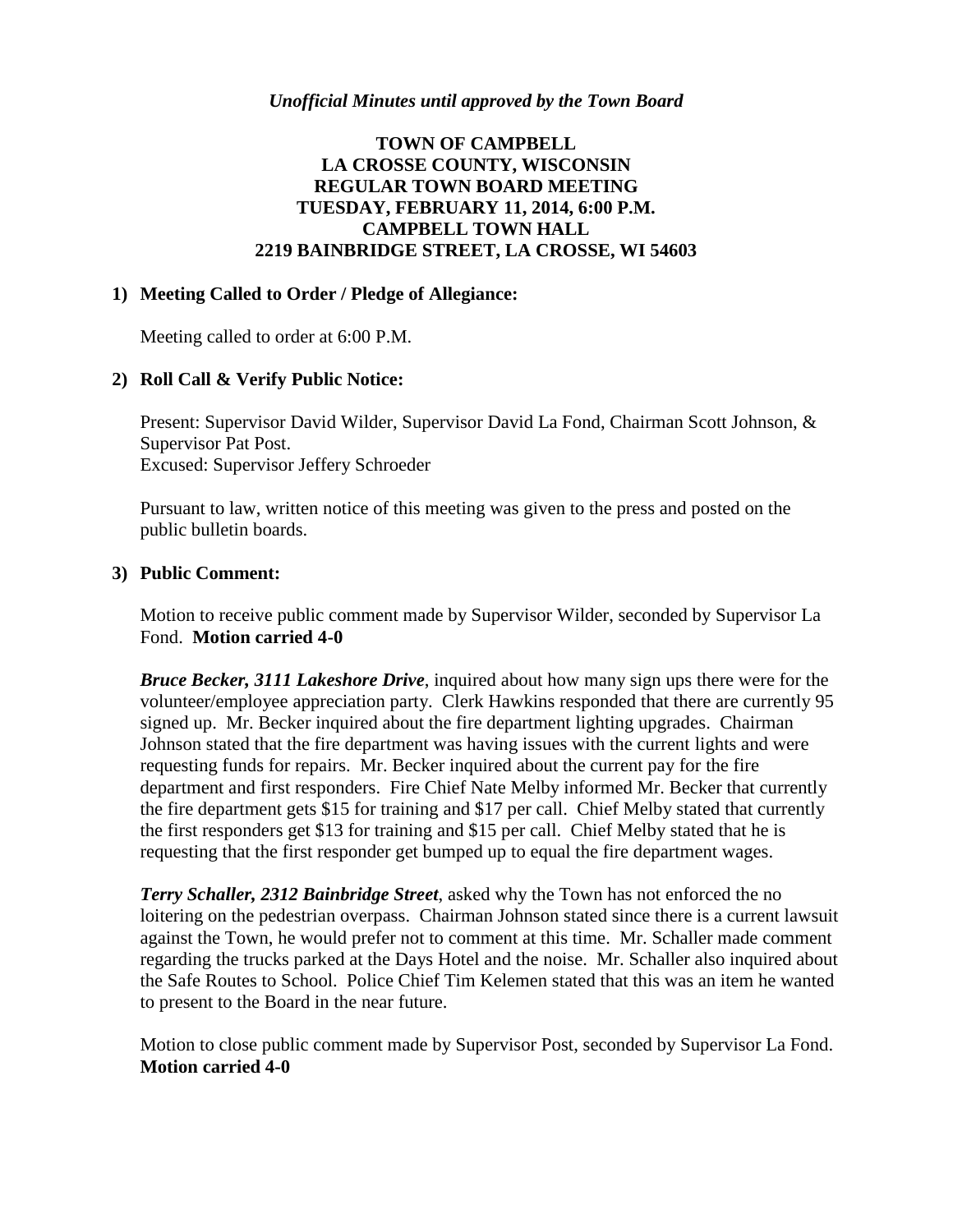## *Unofficial Minutes until approved by the Town Board*

# **TOWN OF CAMPBELL LA CROSSE COUNTY, WISCONSIN REGULAR TOWN BOARD MEETING TUESDAY, FEBRUARY 11, 2014, 6:00 P.M. CAMPBELL TOWN HALL 2219 BAINBRIDGE STREET, LA CROSSE, WI 54603**

#### **1) Meeting Called to Order / Pledge of Allegiance:**

Meeting called to order at 6:00 P.M.

#### **2) Roll Call & Verify Public Notice:**

Present: Supervisor David Wilder, Supervisor David La Fond, Chairman Scott Johnson, & Supervisor Pat Post. Excused: Supervisor Jeffery Schroeder

Pursuant to law, written notice of this meeting was given to the press and posted on the public bulletin boards.

#### **3) Public Comment:**

Motion to receive public comment made by Supervisor Wilder, seconded by Supervisor La Fond. **Motion carried 4-0**

*Bruce Becker, 3111 Lakeshore Drive*, inquired about how many sign ups there were for the volunteer/employee appreciation party. Clerk Hawkins responded that there are currently 95 signed up. Mr. Becker inquired about the fire department lighting upgrades. Chairman Johnson stated that the fire department was having issues with the current lights and were requesting funds for repairs. Mr. Becker inquired about the current pay for the fire department and first responders. Fire Chief Nate Melby informed Mr. Becker that currently the fire department gets \$15 for training and \$17 per call. Chief Melby stated that currently the first responders get \$13 for training and \$15 per call. Chief Melby stated that he is requesting that the first responder get bumped up to equal the fire department wages.

*Terry Schaller, 2312 Bainbridge Street*, asked why the Town has not enforced the no loitering on the pedestrian overpass. Chairman Johnson stated since there is a current lawsuit against the Town, he would prefer not to comment at this time. Mr. Schaller made comment regarding the trucks parked at the Days Hotel and the noise. Mr. Schaller also inquired about the Safe Routes to School. Police Chief Tim Kelemen stated that this was an item he wanted to present to the Board in the near future.

Motion to close public comment made by Supervisor Post, seconded by Supervisor La Fond. **Motion carried 4-0**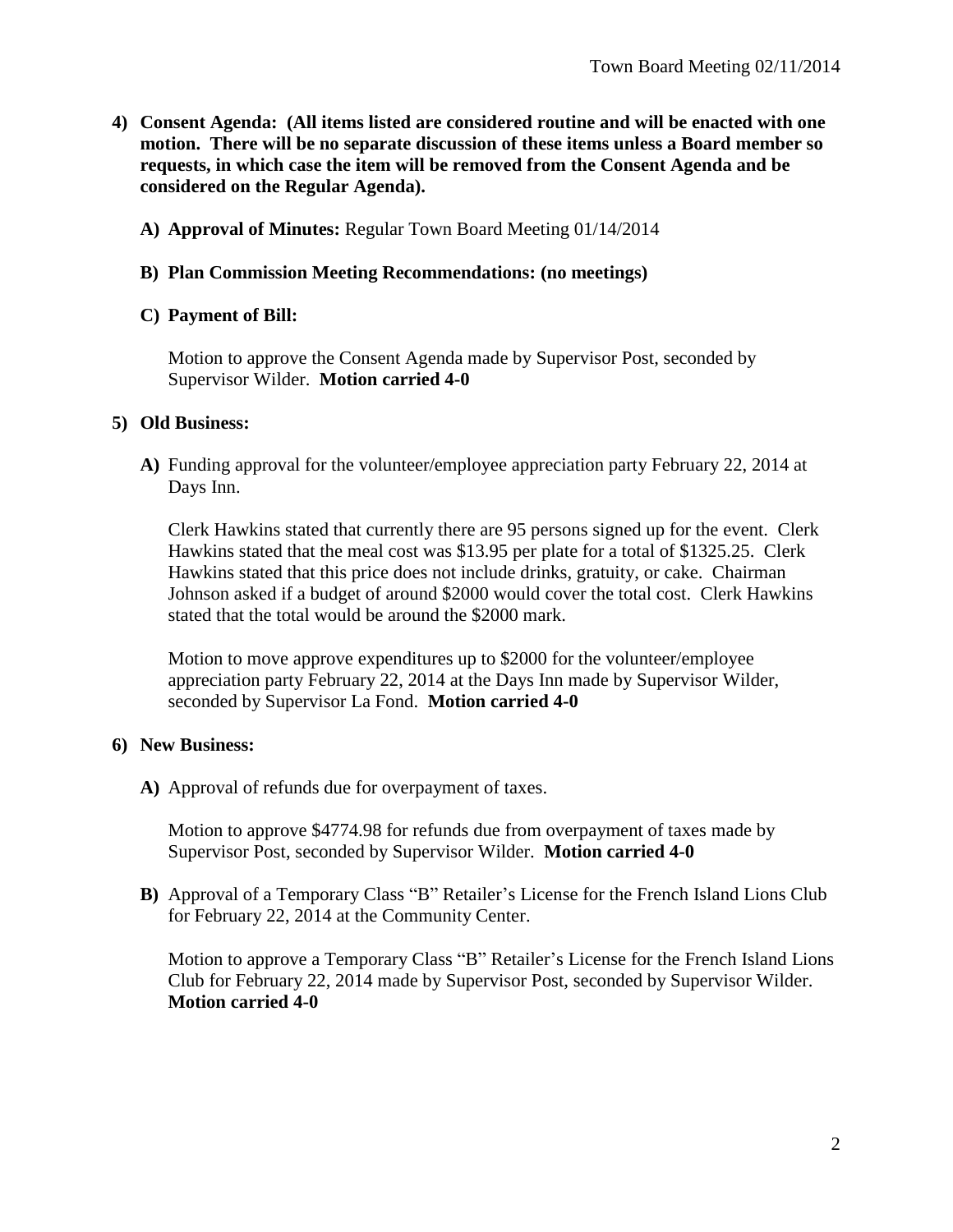- **4) Consent Agenda: (All items listed are considered routine and will be enacted with one motion. There will be no separate discussion of these items unless a Board member so requests, in which case the item will be removed from the Consent Agenda and be considered on the Regular Agenda).**
	- **A) Approval of Minutes:** Regular Town Board Meeting 01/14/2014

### **B) Plan Commission Meeting Recommendations: (no meetings)**

### **C) Payment of Bill:**

Motion to approve the Consent Agenda made by Supervisor Post, seconded by Supervisor Wilder. **Motion carried 4-0**

## **5) Old Business:**

**A)** Funding approval for the volunteer/employee appreciation party February 22, 2014 at Days Inn.

Clerk Hawkins stated that currently there are 95 persons signed up for the event. Clerk Hawkins stated that the meal cost was \$13.95 per plate for a total of \$1325.25. Clerk Hawkins stated that this price does not include drinks, gratuity, or cake. Chairman Johnson asked if a budget of around \$2000 would cover the total cost. Clerk Hawkins stated that the total would be around the \$2000 mark.

Motion to move approve expenditures up to \$2000 for the volunteer/employee appreciation party February 22, 2014 at the Days Inn made by Supervisor Wilder, seconded by Supervisor La Fond. **Motion carried 4-0**

## **6) New Business:**

**A)** Approval of refunds due for overpayment of taxes.

Motion to approve \$4774.98 for refunds due from overpayment of taxes made by Supervisor Post, seconded by Supervisor Wilder. **Motion carried 4-0**

**B)** Approval of a Temporary Class "B" Retailer's License for the French Island Lions Club for February 22, 2014 at the Community Center.

Motion to approve a Temporary Class "B" Retailer's License for the French Island Lions Club for February 22, 2014 made by Supervisor Post, seconded by Supervisor Wilder. **Motion carried 4-0**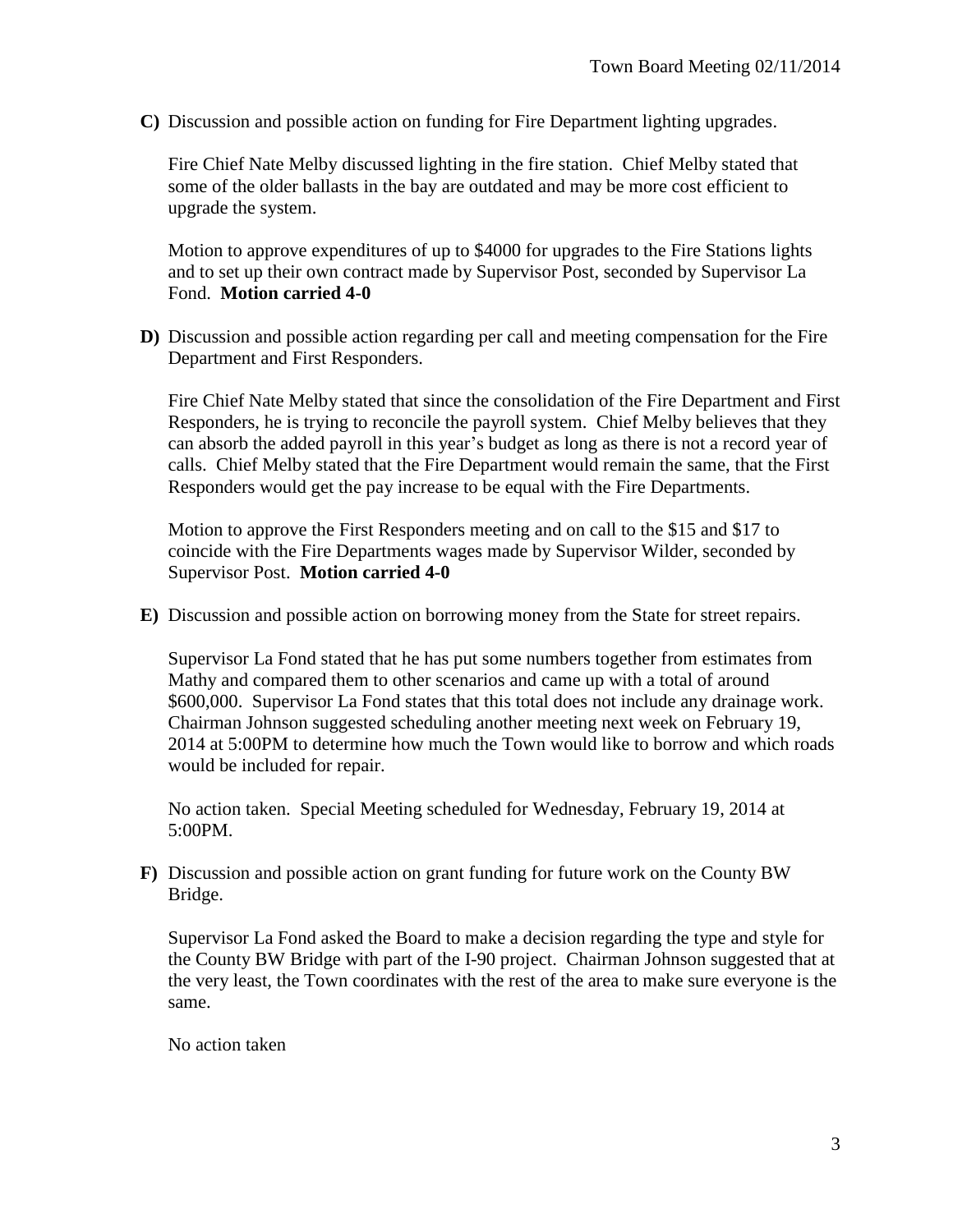**C)** Discussion and possible action on funding for Fire Department lighting upgrades.

Fire Chief Nate Melby discussed lighting in the fire station. Chief Melby stated that some of the older ballasts in the bay are outdated and may be more cost efficient to upgrade the system.

Motion to approve expenditures of up to \$4000 for upgrades to the Fire Stations lights and to set up their own contract made by Supervisor Post, seconded by Supervisor La Fond. **Motion carried 4-0**

**D)** Discussion and possible action regarding per call and meeting compensation for the Fire Department and First Responders.

Fire Chief Nate Melby stated that since the consolidation of the Fire Department and First Responders, he is trying to reconcile the payroll system. Chief Melby believes that they can absorb the added payroll in this year's budget as long as there is not a record year of calls. Chief Melby stated that the Fire Department would remain the same, that the First Responders would get the pay increase to be equal with the Fire Departments.

Motion to approve the First Responders meeting and on call to the \$15 and \$17 to coincide with the Fire Departments wages made by Supervisor Wilder, seconded by Supervisor Post. **Motion carried 4-0**

**E)** Discussion and possible action on borrowing money from the State for street repairs.

Supervisor La Fond stated that he has put some numbers together from estimates from Mathy and compared them to other scenarios and came up with a total of around \$600,000. Supervisor La Fond states that this total does not include any drainage work. Chairman Johnson suggested scheduling another meeting next week on February 19, 2014 at 5:00PM to determine how much the Town would like to borrow and which roads would be included for repair.

No action taken. Special Meeting scheduled for Wednesday, February 19, 2014 at 5:00PM.

**F)** Discussion and possible action on grant funding for future work on the County BW Bridge.

Supervisor La Fond asked the Board to make a decision regarding the type and style for the County BW Bridge with part of the I-90 project. Chairman Johnson suggested that at the very least, the Town coordinates with the rest of the area to make sure everyone is the same.

No action taken